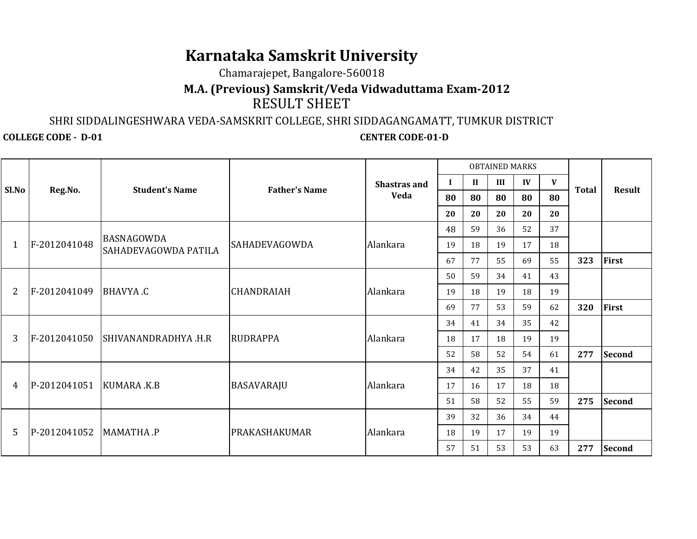# **Karnataka Samskrit University**

## Chamarajepet, Bangalore-560018

## RESULT SHEET**M.A. (Previous) Samskrit/Veda Vidwaduttama Exam-2012**

#### SHRI SIDDALINGESHWARA VEDA-SAMSKRIT COLLEGE, SHRI SIDDAGANGAMATT, TUMKUR DISTRICT

**COLLEGE CODE - D-01 CENTER CODE-01-D** 

| Sl.No          | Reg.No.      | <b>Student's Name</b>              | <b>Father's Name</b> | <b>Shastras and</b><br><b>Veda</b> | <b>OBTAINED MARKS</b> |              |     |    |    |              |               |
|----------------|--------------|------------------------------------|----------------------|------------------------------------|-----------------------|--------------|-----|----|----|--------------|---------------|
|                |              |                                    |                      |                                    | ш                     | $\mathbf{I}$ | III | IV | V  | <b>Total</b> | <b>Result</b> |
|                |              |                                    |                      |                                    | 80                    | 80           | 80  | 80 | 80 |              |               |
|                |              |                                    |                      |                                    | 20                    | 20           | 20  | 20 | 20 |              |               |
|                | F-2012041048 | BASNAGOWDA<br>SAHADEVAGOWDA PATILA | <b>SAHADEVAGOWDA</b> | Alankara                           | 48                    | 59           | 36  | 52 | 37 |              |               |
|                |              |                                    |                      |                                    | 19                    | 18           | 19  | 17 | 18 |              |               |
|                |              |                                    |                      |                                    | 67                    | 77           | 55  | 69 | 55 | 323          | First         |
| $\overline{2}$ | F-2012041049 | BHAVYA.C                           | <b>CHANDRAIAH</b>    | Alankara                           | 50                    | 59           | 34  | 41 | 43 |              |               |
|                |              |                                    |                      |                                    | 19                    | 18           | 19  | 18 | 19 |              |               |
|                |              |                                    |                      |                                    | 69                    | 77           | 53  | 59 | 62 | 320          | First         |
| 3              | F-2012041050 | SHIVANANDRADHYA .H.R               | <b>RUDRAPPA</b>      | Alankara                           | 34                    | 41           | 34  | 35 | 42 |              |               |
|                |              |                                    |                      |                                    | 18                    | 17           | 18  | 19 | 19 |              |               |
|                |              |                                    |                      |                                    | 52                    | 58           | 52  | 54 | 61 | 277          | <b>Second</b> |
| 4              | P-2012041051 | KUMARA .K.B                        | <b>BASAVARAJU</b>    | Alankara                           | 34                    | 42           | 35  | 37 | 41 |              |               |
|                |              |                                    |                      |                                    | 17                    | 16           | 17  | 18 | 18 |              |               |
|                |              |                                    |                      |                                    | 51                    | 58           | 52  | 55 | 59 | 275          | <b>Second</b> |
| 5              | P-2012041052 | MAMATHA.P                          | PRAKASHAKUMAR        | Alankara                           | 39                    | 32           | 36  | 34 | 44 |              |               |
|                |              |                                    |                      |                                    | 18                    | 19           | 17  | 19 | 19 |              |               |
|                |              |                                    |                      |                                    | 57                    | 51           | 53  | 53 | 63 | 277          | <b>Second</b> |